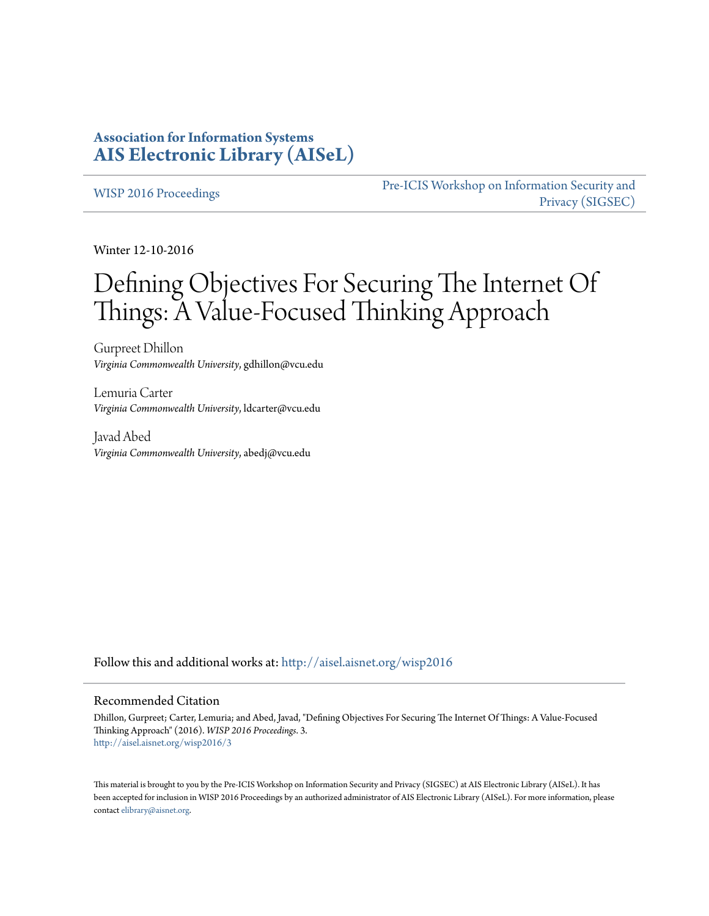### **Association for Information Systems [AIS Electronic Library \(AISeL\)](http://aisel.aisnet.org?utm_source=aisel.aisnet.org%2Fwisp2016%2F3&utm_medium=PDF&utm_campaign=PDFCoverPages)**

[WISP 2016 Proceedings](http://aisel.aisnet.org/wisp2016?utm_source=aisel.aisnet.org%2Fwisp2016%2F3&utm_medium=PDF&utm_campaign=PDFCoverPages)

[Pre-ICIS Workshop on Information Security and](http://aisel.aisnet.org/sigsec?utm_source=aisel.aisnet.org%2Fwisp2016%2F3&utm_medium=PDF&utm_campaign=PDFCoverPages) [Privacy \(SIGSEC\)](http://aisel.aisnet.org/sigsec?utm_source=aisel.aisnet.org%2Fwisp2016%2F3&utm_medium=PDF&utm_campaign=PDFCoverPages)

Winter 12-10-2016

# Defining Objectives For Securing The Internet Of Things: A Value-Focused Thinking Approach

Gurpreet Dhillon *Virginia Commonwealth University*, gdhillon@vcu.edu

Lemuria Carter *Virginia Commonwealth University*, ldcarter@vcu.edu

Javad Abed *Virginia Commonwealth University*, abedj@vcu.edu

Follow this and additional works at: [http://aisel.aisnet.org/wisp2016](http://aisel.aisnet.org/wisp2016?utm_source=aisel.aisnet.org%2Fwisp2016%2F3&utm_medium=PDF&utm_campaign=PDFCoverPages)

#### Recommended Citation

Dhillon, Gurpreet; Carter, Lemuria; and Abed, Javad, "Defining Objectives For Securing The Internet Of Things: A Value-Focused Thinking Approach" (2016). *WISP 2016 Proceedings*. 3. [http://aisel.aisnet.org/wisp2016/3](http://aisel.aisnet.org/wisp2016/3?utm_source=aisel.aisnet.org%2Fwisp2016%2F3&utm_medium=PDF&utm_campaign=PDFCoverPages)

This material is brought to you by the Pre-ICIS Workshop on Information Security and Privacy (SIGSEC) at AIS Electronic Library (AISeL). It has been accepted for inclusion in WISP 2016 Proceedings by an authorized administrator of AIS Electronic Library (AISeL). For more information, please contact [elibrary@aisnet.org.](mailto:elibrary@aisnet.org%3E)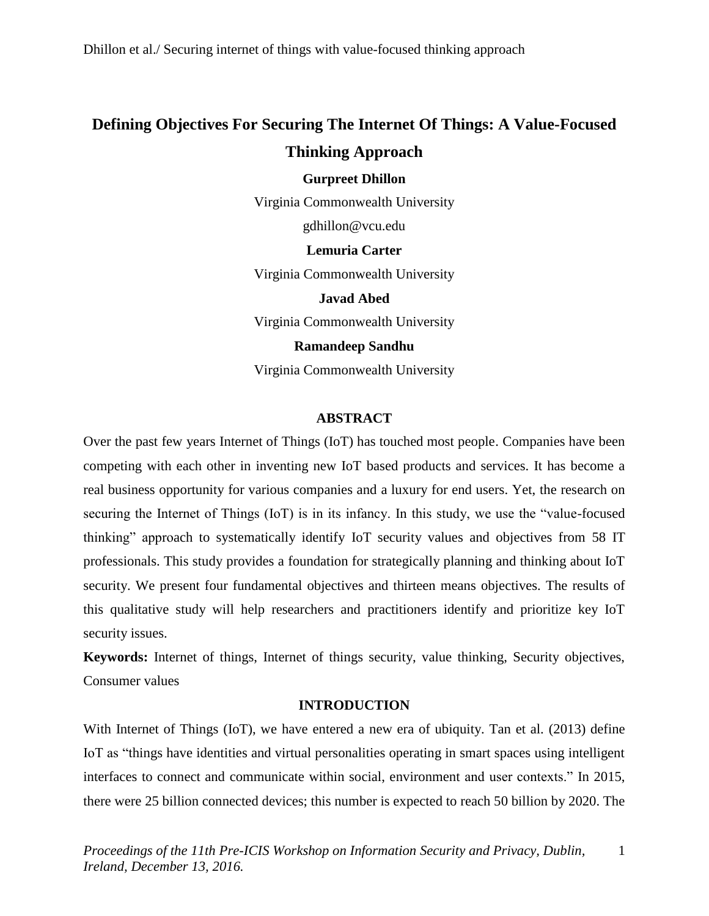## **Defining Objectives For Securing The Internet Of Things: A Value-Focused Thinking Approach**

#### **Gurpreet Dhillon**

Virginia Commonwealth University

gdhillon@vcu.edu

**Lemuria Carter**

Virginia Commonwealth University

**Javad Abed** Virginia Commonwealth University

**Ramandeep Sandhu**

Virginia Commonwealth University

#### **ABSTRACT**

Over the past few years Internet of Things (IoT) has touched most people. Companies have been competing with each other in inventing new IoT based products and services. It has become a real business opportunity for various companies and a luxury for end users. Yet, the research on securing the Internet of Things (IoT) is in its infancy. In this study, we use the "value-focused thinking" approach to systematically identify IoT security values and objectives from 58 IT professionals. This study provides a foundation for strategically planning and thinking about IoT security. We present four fundamental objectives and thirteen means objectives. The results of this qualitative study will help researchers and practitioners identify and prioritize key IoT security issues.

**Keywords:** Internet of things, Internet of things security, value thinking, Security objectives, Consumer values

#### **INTRODUCTION**

With Internet of Things (IoT), we have entered a new era of ubiquity. Tan et al. (2013) define IoT as "things have identities and virtual personalities operating in smart spaces using intelligent interfaces to connect and communicate within social, environment and user contexts." In 2015, there were 25 billion connected devices; this number is expected to reach 50 billion by 2020. The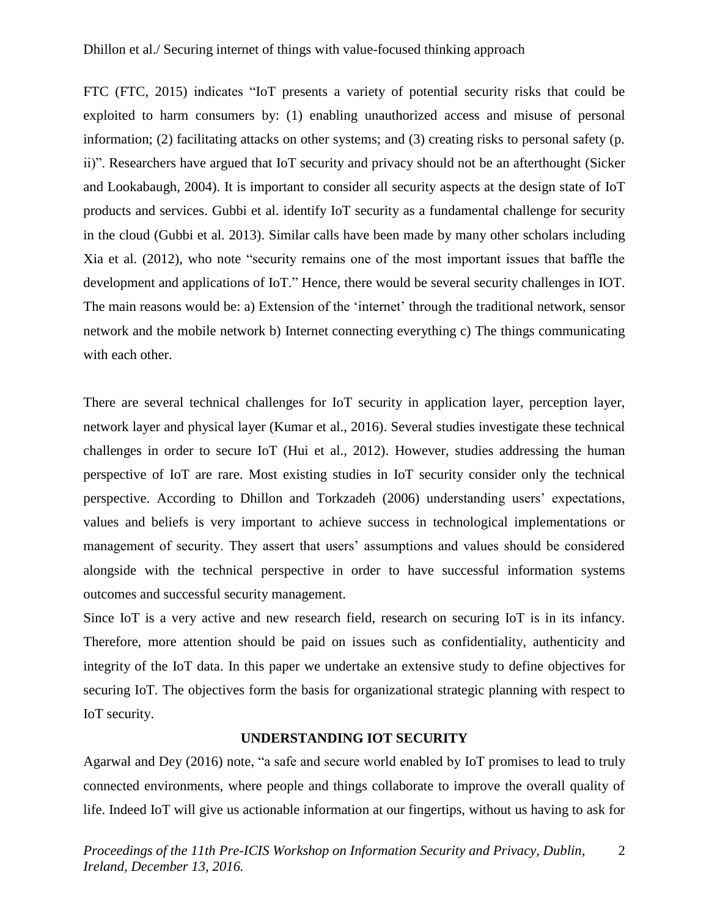FTC (FTC, 2015) indicates "IoT presents a variety of potential security risks that could be exploited to harm consumers by: (1) enabling unauthorized access and misuse of personal information; (2) facilitating attacks on other systems; and (3) creating risks to personal safety (p. ii)". Researchers have argued that IoT security and privacy should not be an afterthought (Sicker and Lookabaugh, 2004). It is important to consider all security aspects at the design state of IoT products and services. Gubbi et al. identify IoT security as a fundamental challenge for security in the cloud (Gubbi et al. 2013). Similar calls have been made by many other scholars including Xia et al. (2012), who note "security remains one of the most important issues that baffle the development and applications of IoT." Hence, there would be several security challenges in IOT. The main reasons would be: a) Extension of the 'internet' through the traditional network, sensor network and the mobile network b) Internet connecting everything c) The things communicating with each other.

There are several technical challenges for IoT security in application layer, perception layer, network layer and physical layer (Kumar et al., 2016). Several studies investigate these technical challenges in order to secure IoT (Hui et al., 2012). However, studies addressing the human perspective of IoT are rare. Most existing studies in IoT security consider only the technical perspective. According to Dhillon and Torkzadeh (2006) understanding users' expectations, values and beliefs is very important to achieve success in technological implementations or management of security. They assert that users' assumptions and values should be considered alongside with the technical perspective in order to have successful information systems outcomes and successful security management.

Since IoT is a very active and new research field, research on securing IoT is in its infancy. Therefore, more attention should be paid on issues such as confidentiality, authenticity and integrity of the IoT data. In this paper we undertake an extensive study to define objectives for securing IoT. The objectives form the basis for organizational strategic planning with respect to IoT security.

#### **UNDERSTANDING IOT SECURITY**

Agarwal and Dey (2016) note, "a safe and secure world enabled by IoT promises to lead to truly connected environments, where people and things collaborate to improve the overall quality of life. Indeed IoT will give us actionable information at our fingertips, without us having to ask for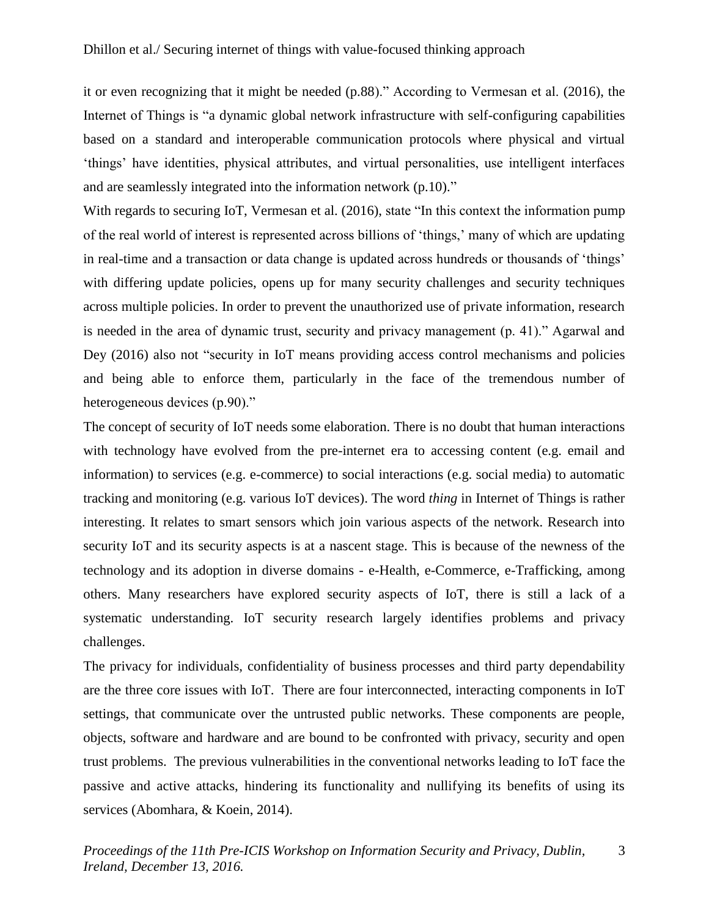it or even recognizing that it might be needed (p.88)." According to Vermesan et al. (2016), the Internet of Things is "a dynamic global network infrastructure with self-configuring capabilities based on a standard and interoperable communication protocols where physical and virtual 'things' have identities, physical attributes, and virtual personalities, use intelligent interfaces and are seamlessly integrated into the information network (p.10)."

With regards to securing IoT, Vermesan et al. (2016), state "In this context the information pump of the real world of interest is represented across billions of 'things,' many of which are updating in real-time and a transaction or data change is updated across hundreds or thousands of 'things' with differing update policies, opens up for many security challenges and security techniques across multiple policies. In order to prevent the unauthorized use of private information, research is needed in the area of dynamic trust, security and privacy management (p. 41)." Agarwal and Dey (2016) also not "security in IoT means providing access control mechanisms and policies and being able to enforce them, particularly in the face of the tremendous number of heterogeneous devices (p.90)."

The concept of security of IoT needs some elaboration. There is no doubt that human interactions with technology have evolved from the pre-internet era to accessing content (e.g. email and information) to services (e.g. e-commerce) to social interactions (e.g. social media) to automatic tracking and monitoring (e.g. various IoT devices). The word *thing* in Internet of Things is rather interesting. It relates to smart sensors which join various aspects of the network. Research into security IoT and its security aspects is at a nascent stage. This is because of the newness of the technology and its adoption in diverse domains - e-Health, e-Commerce, e-Trafficking, among others. Many researchers have explored security aspects of IoT, there is still a lack of a systematic understanding. IoT security research largely identifies problems and privacy challenges.

The privacy for individuals, confidentiality of business processes and third party dependability are the three core issues with IoT. There are four interconnected, interacting components in IoT settings, that communicate over the untrusted public networks. These components are people, objects, software and hardware and are bound to be confronted with privacy, security and open trust problems. The previous vulnerabilities in the conventional networks leading to IoT face the passive and active attacks, hindering its functionality and nullifying its benefits of using its services (Abomhara, & Koein, 2014).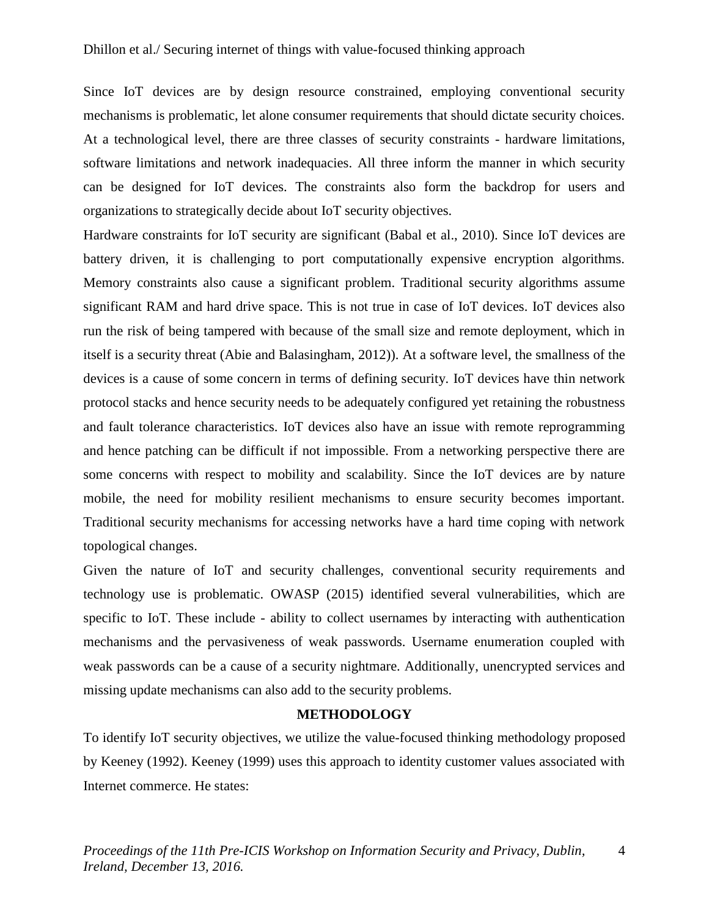Since IoT devices are by design resource constrained, employing conventional security mechanisms is problematic, let alone consumer requirements that should dictate security choices. At a technological level, there are three classes of security constraints - hardware limitations, software limitations and network inadequacies. All three inform the manner in which security can be designed for IoT devices. The constraints also form the backdrop for users and organizations to strategically decide about IoT security objectives.

Hardware constraints for IoT security are significant (Babal et al., 2010). Since IoT devices are battery driven, it is challenging to port computationally expensive encryption algorithms. Memory constraints also cause a significant problem. Traditional security algorithms assume significant RAM and hard drive space. This is not true in case of IoT devices. IoT devices also run the risk of being tampered with because of the small size and remote deployment, which in itself is a security threat (Abie and Balasingham, 2012)). At a software level, the smallness of the devices is a cause of some concern in terms of defining security. IoT devices have thin network protocol stacks and hence security needs to be adequately configured yet retaining the robustness and fault tolerance characteristics. IoT devices also have an issue with remote reprogramming and hence patching can be difficult if not impossible. From a networking perspective there are some concerns with respect to mobility and scalability. Since the IoT devices are by nature mobile, the need for mobility resilient mechanisms to ensure security becomes important. Traditional security mechanisms for accessing networks have a hard time coping with network topological changes.

Given the nature of IoT and security challenges, conventional security requirements and technology use is problematic. OWASP (2015) identified several vulnerabilities, which are specific to IoT. These include - ability to collect usernames by interacting with authentication mechanisms and the pervasiveness of weak passwords. Username enumeration coupled with weak passwords can be a cause of a security nightmare. Additionally, unencrypted services and missing update mechanisms can also add to the security problems.

#### **METHODOLOGY**

To identify IoT security objectives, we utilize the value-focused thinking methodology proposed by Keeney (1992). Keeney (1999) uses this approach to identity customer values associated with Internet commerce. He states: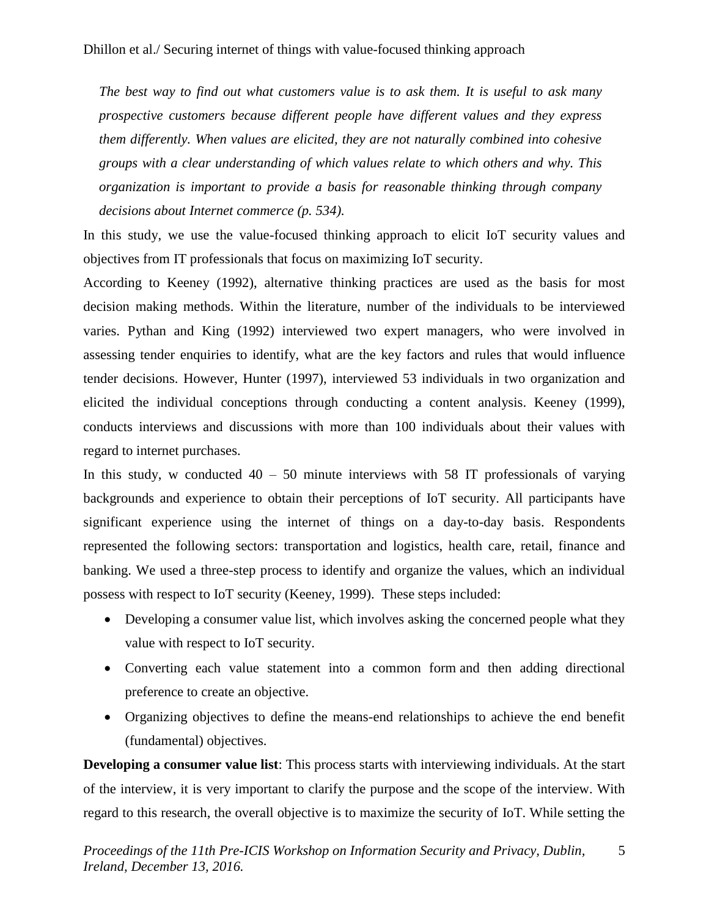*The best way to find out what customers value is to ask them. It is useful to ask many prospective customers because different people have different values and they express them differently. When values are elicited, they are not naturally combined into cohesive groups with a clear understanding of which values relate to which others and why. This organization is important to provide a basis for reasonable thinking through company decisions about Internet commerce (p. 534).*

In this study, we use the value-focused thinking approach to elicit IoT security values and objectives from IT professionals that focus on maximizing IoT security.

According to Keeney (1992), alternative thinking practices are used as the basis for most decision making methods. Within the literature, number of the individuals to be interviewed varies. Pythan and King (1992) interviewed two expert managers, who were involved in assessing tender enquiries to identify, what are the key factors and rules that would influence tender decisions. However, Hunter (1997), interviewed 53 individuals in two organization and elicited the individual conceptions through conducting a content analysis. Keeney (1999), conducts interviews and discussions with more than 100 individuals about their values with regard to internet purchases.

In this study, w conducted  $40 - 50$  minute interviews with 58 IT professionals of varying backgrounds and experience to obtain their perceptions of IoT security. All participants have significant experience using the internet of things on a day-to-day basis. Respondents represented the following sectors: transportation and logistics, health care, retail, finance and banking. We used a three-step process to identify and organize the values, which an individual possess with respect to IoT security (Keeney, 1999). These steps included:

- Developing a consumer value list, which involves asking the concerned people what they value with respect to IoT security.
- Converting each value statement into a common form and then adding directional preference to create an objective.
- Organizing objectives to define the means-end relationships to achieve the end benefit (fundamental) objectives.

**Developing a consumer value list**: This process starts with interviewing individuals. At the start of the interview, it is very important to clarify the purpose and the scope of the interview. With regard to this research, the overall objective is to maximize the security of IoT. While setting the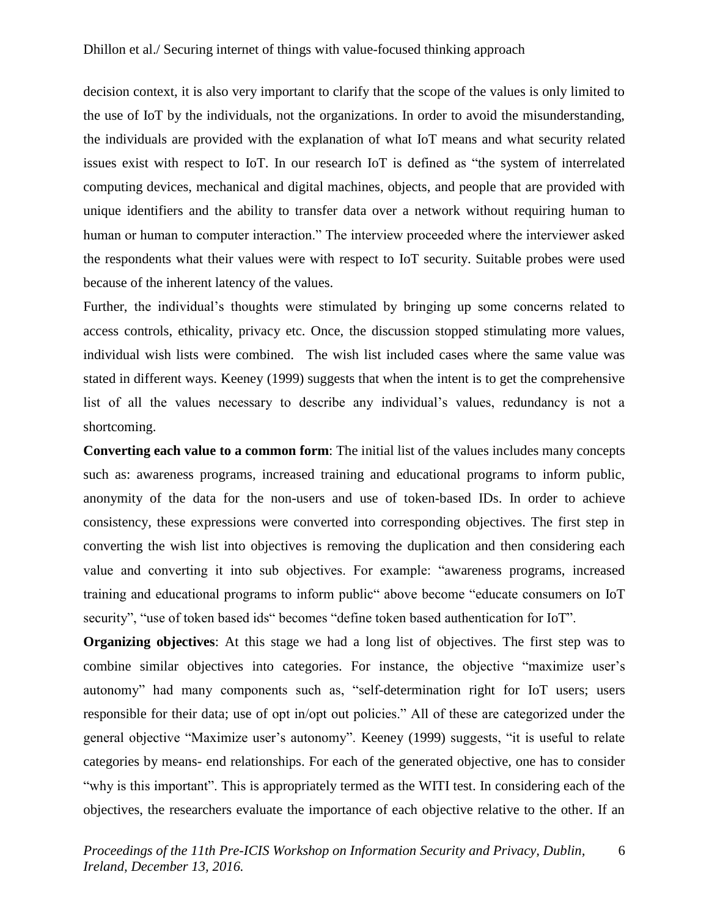decision context, it is also very important to clarify that the scope of the values is only limited to the use of IoT by the individuals, not the organizations. In order to avoid the misunderstanding, the individuals are provided with the explanation of what IoT means and what security related issues exist with respect to IoT. In our research IoT is defined as "the system of interrelated computing devices, mechanical and digital machines, objects, and people that are provided with unique identifiers and the ability to transfer data over a network without requiring human to human or human to computer interaction." The interview proceeded where the interviewer asked the respondents what their values were with respect to IoT security. Suitable probes were used because of the inherent latency of the values.

Further, the individual's thoughts were stimulated by bringing up some concerns related to access controls, ethicality, privacy etc. Once, the discussion stopped stimulating more values, individual wish lists were combined. The wish list included cases where the same value was stated in different ways. Keeney (1999) suggests that when the intent is to get the comprehensive list of all the values necessary to describe any individual's values, redundancy is not a shortcoming.

**Converting each value to a common form**: The initial list of the values includes many concepts such as: awareness programs, increased training and educational programs to inform public, anonymity of the data for the non-users and use of token-based IDs. In order to achieve consistency, these expressions were converted into corresponding objectives. The first step in converting the wish list into objectives is removing the duplication and then considering each value and converting it into sub objectives. For example: "awareness programs, increased training and educational programs to inform public" above become "educate consumers on IoT security", "use of token based ids" becomes "define token based authentication for IoT".

**Organizing objectives**: At this stage we had a long list of objectives. The first step was to combine similar objectives into categories. For instance, the objective "maximize user's autonomy" had many components such as, "self-determination right for IoT users; users responsible for their data; use of opt in/opt out policies." All of these are categorized under the general objective "Maximize user's autonomy". Keeney (1999) suggests, "it is useful to relate categories by means- end relationships. For each of the generated objective, one has to consider "why is this important". This is appropriately termed as the WITI test. In considering each of the objectives, the researchers evaluate the importance of each objective relative to the other. If an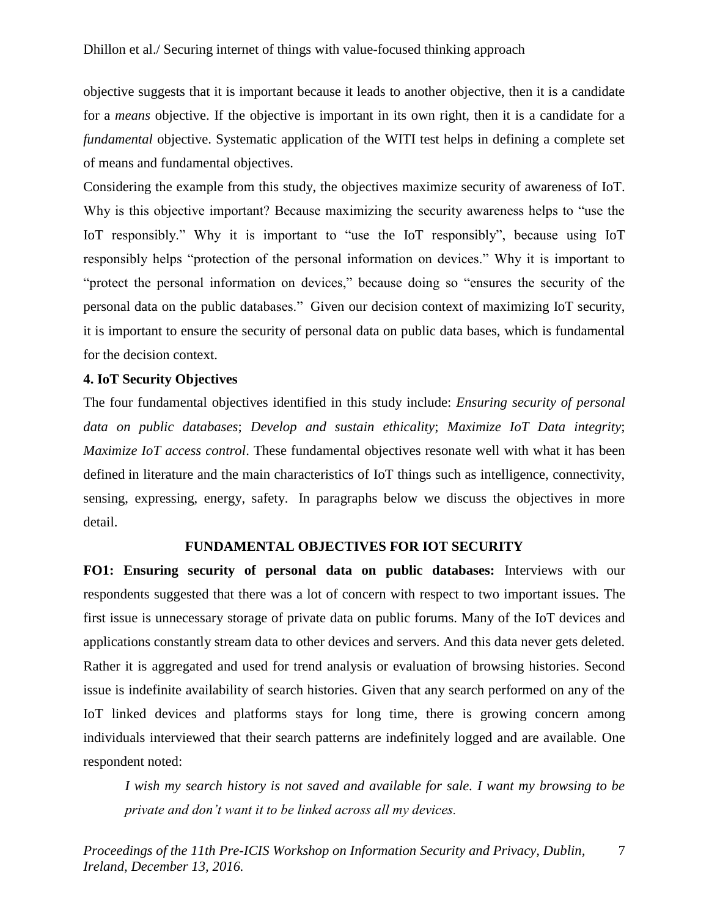objective suggests that it is important because it leads to another objective, then it is a candidate for a *means* objective. If the objective is important in its own right, then it is a candidate for a *fundamental* objective. Systematic application of the WITI test helps in defining a complete set of means and fundamental objectives.

Considering the example from this study, the objectives maximize security of awareness of IoT. Why is this objective important? Because maximizing the security awareness helps to "use the IoT responsibly." Why it is important to "use the IoT responsibly", because using IoT responsibly helps "protection of the personal information on devices." Why it is important to "protect the personal information on devices," because doing so "ensures the security of the personal data on the public databases." Given our decision context of maximizing IoT security, it is important to ensure the security of personal data on public data bases, which is fundamental for the decision context.

#### **4. IoT Security Objectives**

The four fundamental objectives identified in this study include: *Ensuring security of personal data on public databases*; *Develop and sustain ethicality*; *Maximize IoT Data integrity*; *Maximize IoT access control*. These fundamental objectives resonate well with what it has been defined in literature and the main characteristics of IoT things such as intelligence, connectivity, sensing, expressing, energy, safety. In paragraphs below we discuss the objectives in more detail.

#### **FUNDAMENTAL OBJECTIVES FOR IOT SECURITY**

**FO1: Ensuring security of personal data on public databases:** Interviews with our respondents suggested that there was a lot of concern with respect to two important issues. The first issue is unnecessary storage of private data on public forums. Many of the IoT devices and applications constantly stream data to other devices and servers. And this data never gets deleted. Rather it is aggregated and used for trend analysis or evaluation of browsing histories. Second issue is indefinite availability of search histories. Given that any search performed on any of the IoT linked devices and platforms stays for long time, there is growing concern among individuals interviewed that their search patterns are indefinitely logged and are available. One respondent noted:

*I wish my search history is not saved and available for sale. I want my browsing to be private and don't want it to be linked across all my devices.*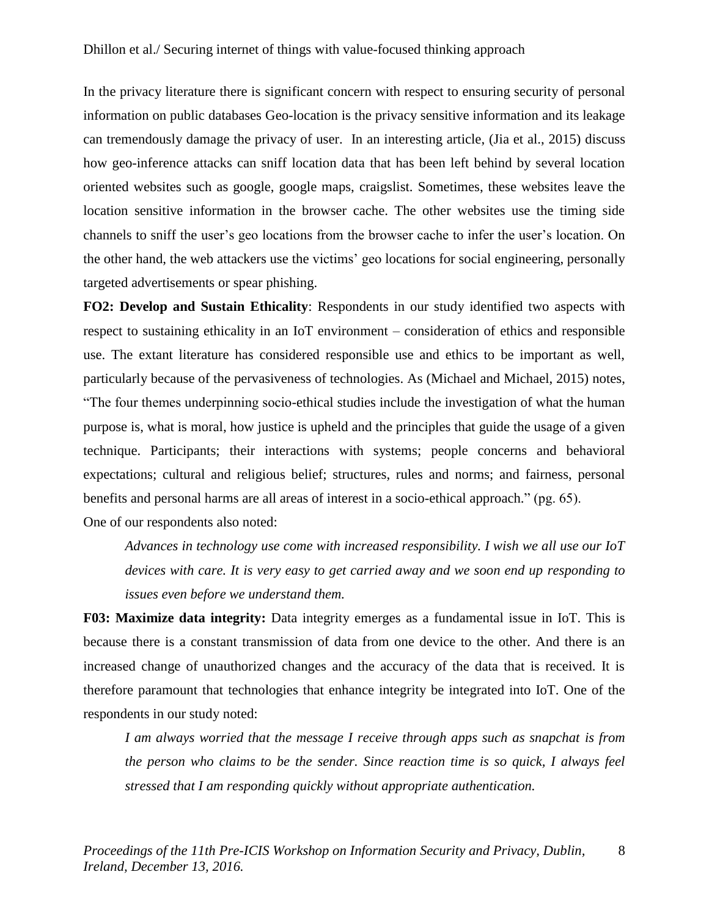In the privacy literature there is significant concern with respect to ensuring security of personal information on public databases Geo-location is the privacy sensitive information and its leakage can tremendously damage the privacy of user. In an interesting article, (Jia et al., 2015) discuss how geo-inference attacks can sniff location data that has been left behind by several location oriented websites such as google, google maps, craigslist. Sometimes, these websites leave the location sensitive information in the browser cache. The other websites use the timing side channels to sniff the user's geo locations from the browser cache to infer the user's location. On the other hand, the web attackers use the victims' geo locations for social engineering, personally targeted advertisements or spear phishing.

**FO2: Develop and Sustain Ethicality**: Respondents in our study identified two aspects with respect to sustaining ethicality in an IoT environment – consideration of ethics and responsible use. The extant literature has considered responsible use and ethics to be important as well, particularly because of the pervasiveness of technologies. As (Michael and Michael, 2015) notes, "The four themes underpinning socio-ethical studies include the investigation of what the human purpose is, what is moral, how justice is upheld and the principles that guide the usage of a given technique. Participants; their interactions with systems; people concerns and behavioral expectations; cultural and religious belief; structures, rules and norms; and fairness, personal benefits and personal harms are all areas of interest in a socio-ethical approach." (pg. 65). One of our respondents also noted:

*Advances in technology use come with increased responsibility. I wish we all use our IoT devices with care. It is very easy to get carried away and we soon end up responding to issues even before we understand them.*

**F03: Maximize data integrity:** Data integrity emerges as a fundamental issue in IoT. This is because there is a constant transmission of data from one device to the other. And there is an increased change of unauthorized changes and the accuracy of the data that is received. It is therefore paramount that technologies that enhance integrity be integrated into IoT. One of the respondents in our study noted:

*I am always worried that the message I receive through apps such as snapchat is from the person who claims to be the sender. Since reaction time is so quick, I always feel stressed that I am responding quickly without appropriate authentication.*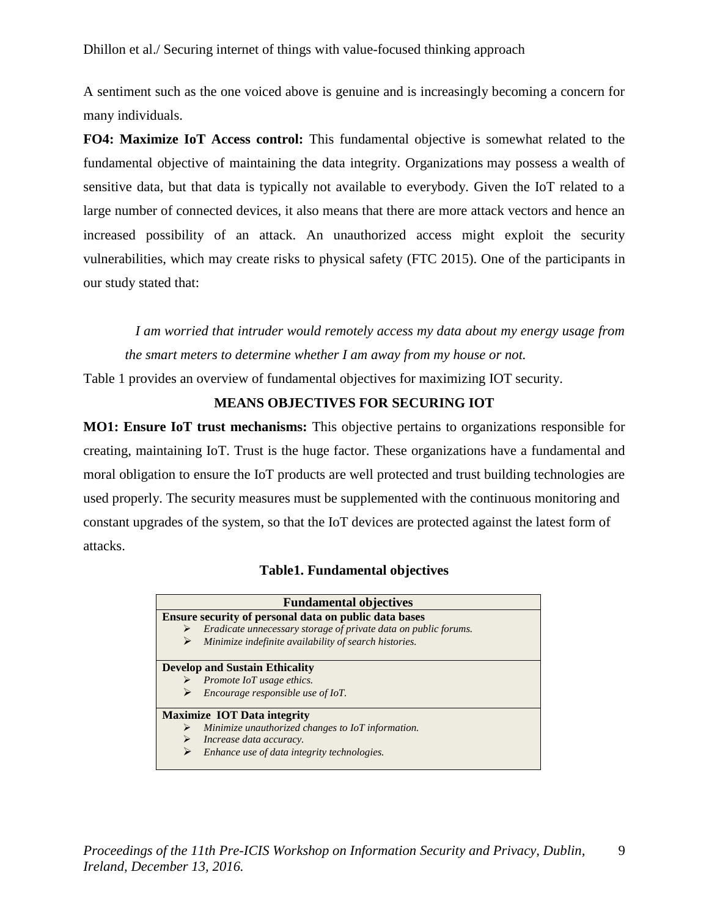A sentiment such as the one voiced above is genuine and is increasingly becoming a concern for many individuals.

**FO4: Maximize IoT Access control:** This fundamental objective is somewhat related to the fundamental objective of maintaining the data integrity. Organizations may possess a wealth of sensitive data, but that data is typically not available to everybody. Given the IoT related to a large number of connected devices, it also means that there are more attack vectors and hence an increased possibility of an attack. An unauthorized access might exploit the security vulnerabilities, which may create risks to physical safety (FTC 2015). One of the participants in our study stated that:

 *I am worried that intruder would remotely access my data about my energy usage from the smart meters to determine whether I am away from my house or not.* 

Table 1 provides an overview of fundamental objectives for maximizing IOT security.

#### **MEANS OBJECTIVES FOR SECURING IOT**

**MO1: Ensure IoT trust mechanisms:** This objective pertains to organizations responsible for creating, maintaining IoT. Trust is the huge factor. These organizations have a fundamental and moral obligation to ensure the IoT products are well protected and trust building technologies are used properly. The security measures must be supplemented with the continuous monitoring and constant upgrades of the system, so that the IoT devices are protected against the latest form of attacks.

#### **Table1. Fundamental objectives**

| <b>Fundamental objectives</b>                                                                                            |  |  |  |
|--------------------------------------------------------------------------------------------------------------------------|--|--|--|
| Ensure security of personal data on public data bases                                                                    |  |  |  |
| Eradicate unnecessary storage of private data on public forums.                                                          |  |  |  |
| Minimize indefinite availability of search histories.                                                                    |  |  |  |
| <b>Develop and Sustain Ethicality</b><br>$\triangleright$ Promote IoT usage ethics.<br>Encourage responsible use of IoT. |  |  |  |
| <b>Maximize IOT Data integrity</b>                                                                                       |  |  |  |
| Minimize unauthorized changes to IoT information.                                                                        |  |  |  |
| Increase data accuracy.                                                                                                  |  |  |  |
| Enhance use of data integrity technologies.                                                                              |  |  |  |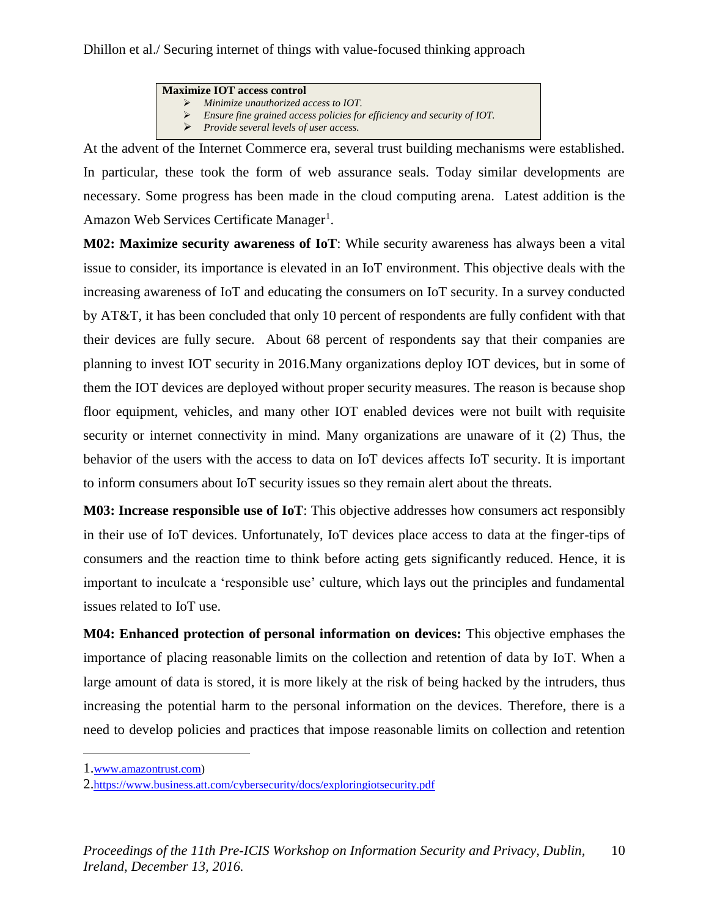#### **Maximize IOT access control**

- ➢ *Minimize unauthorized access to IOT.*
- ➢ *Ensure fine grained access policies for efficiency and security of IOT.*
- ➢ *Provide several levels of user access.*

At the advent of the Internet Commerce era, several trust building mechanisms were established. In particular, these took the form of web assurance seals. Today similar developments are necessary. Some progress has been made in the cloud computing arena. Latest addition is the Amazon Web Services Certificate Manager<sup>1</sup>.

**M02: Maximize security awareness of IoT**: While security awareness has always been a vital issue to consider, its importance is elevated in an IoT environment. This objective deals with the increasing awareness of IoT and educating the consumers on IoT security. In a survey conducted by AT&T, it has been concluded that only 10 percent of respondents are fully confident with that their devices are fully secure. About 68 percent of respondents say that their companies are planning to invest IOT security in 2016.Many organizations deploy IOT devices, but in some of them the IOT devices are deployed without proper security measures. The reason is because shop floor equipment, vehicles, and many other IOT enabled devices were not built with requisite security or internet connectivity in mind. Many organizations are unaware of it (2) Thus, the behavior of the users with the access to data on IoT devices affects IoT security. It is important to inform consumers about IoT security issues so they remain alert about the threats.

**M03: Increase responsible use of IoT**: This objective addresses how consumers act responsibly in their use of IoT devices. Unfortunately, IoT devices place access to data at the finger-tips of consumers and the reaction time to think before acting gets significantly reduced. Hence, it is important to inculcate a 'responsible use' culture, which lays out the principles and fundamental issues related to IoT use.

**M04: Enhanced protection of personal information on devices:** This objective emphases the importance of placing reasonable limits on the collection and retention of data by IoT. When a large amount of data is stored, it is more likely at the risk of being hacked by the intruders, thus increasing the potential harm to the personal information on the devices. Therefore, there is a need to develop policies and practices that impose reasonable limits on collection and retention

 $\overline{a}$ 

<sup>1.</sup>[www.amazontrust.com\)](http://www.amazontrust.com/)

<sup>2.</sup><https://www.business.att.com/cybersecurity/docs/exploringiotsecurity.pdf>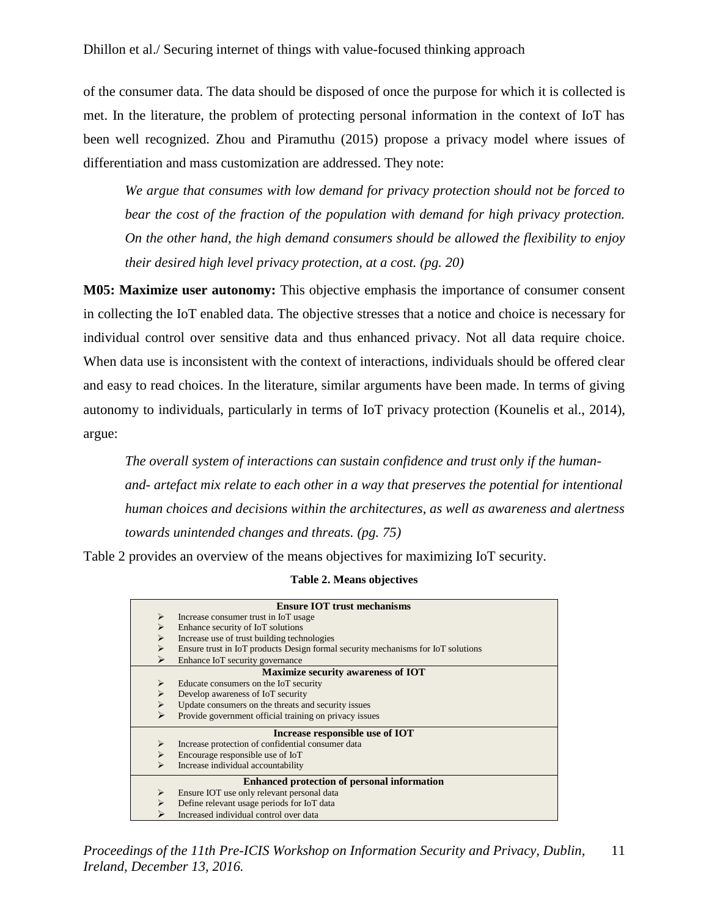of the consumer data. The data should be disposed of once the purpose for which it is collected is met. In the literature, the problem of protecting personal information in the context of IoT has been well recognized. Zhou and Piramuthu (2015) propose a privacy model where issues of differentiation and mass customization are addressed. They note:

*We argue that consumes with low demand for privacy protection should not be forced to bear the cost of the fraction of the population with demand for high privacy protection. On the other hand, the high demand consumers should be allowed the flexibility to enjoy their desired high level privacy protection, at a cost. (pg. 20)*

**M05: Maximize user autonomy:** This objective emphasis the importance of consumer consent in collecting the IoT enabled data. The objective stresses that a notice and choice is necessary for individual control over sensitive data and thus enhanced privacy. Not all data require choice. When data use is inconsistent with the context of interactions, individuals should be offered clear and easy to read choices. In the literature, similar arguments have been made. In terms of giving autonomy to individuals, particularly in terms of IoT privacy protection (Kounelis et al., 2014), argue:

*The overall system of interactions can sustain confidence and trust only if the humanand- artefact mix relate to each other in a way that preserves the potential for intentional human choices and decisions within the architectures, as well as awareness and alertness towards unintended changes and threats. (pg. 75)*

Table 2 provides an overview of the means objectives for maximizing IoT security.

#### **Table 2. Means objectives**

| <b>Ensure IOT trust mechanisms</b>                 |                                                                                  |  |  |
|----------------------------------------------------|----------------------------------------------------------------------------------|--|--|
| $\blacktriangleright$                              | Increase consumer trust in IoT usage                                             |  |  |
| ⋗                                                  | Enhance security of IoT solutions                                                |  |  |
| $\blacktriangleright$                              | Increase use of trust building technologies                                      |  |  |
| ⋗                                                  | Ensure trust in IoT products Design formal security mechanisms for IoT solutions |  |  |
| ⋗                                                  | Enhance IoT security governance                                                  |  |  |
| <b>Maximize security awareness of IOT</b>          |                                                                                  |  |  |
| $\blacktriangleright$                              | Educate consumers on the IoT security                                            |  |  |
| ⋗                                                  | Develop awareness of IoT security                                                |  |  |
| ➤                                                  | Update consumers on the threats and security issues                              |  |  |
| ⋗                                                  | Provide government official training on privacy issues                           |  |  |
| Increase responsible use of IOT                    |                                                                                  |  |  |
| ➤                                                  | Increase protection of confidential consumer data                                |  |  |
| $\blacktriangleright$                              | Encourage responsible use of IoT                                                 |  |  |
| ⋗                                                  | Increase individual accountability                                               |  |  |
| <b>Enhanced protection of personal information</b> |                                                                                  |  |  |
| ➤                                                  | Ensure IOT use only relevant personal data                                       |  |  |
| ⋗                                                  | Define relevant usage periods for IoT data                                       |  |  |
|                                                    | Increased individual control over data                                           |  |  |

*Proceedings of the 11th Pre-ICIS Workshop on Information Security and Privacy, Dublin, Ireland, December 13, 2016.* 11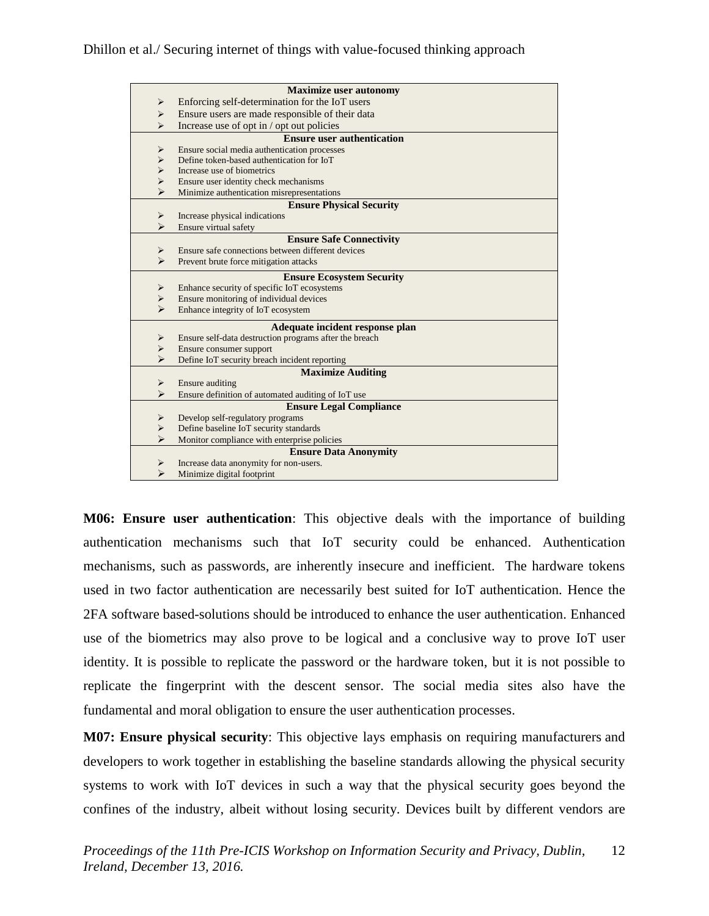#### Dhillon et al./ Securing internet of things with value-focused thinking approach

| <b>Maximize user autonomy</b>                                            |  |  |
|--------------------------------------------------------------------------|--|--|
| Enforcing self-determination for the IoT users<br>⋗                      |  |  |
| Ensure users are made responsible of their data<br>$\blacktriangleright$ |  |  |
| Increase use of opt in / opt out policies<br>$\blacktriangleright$       |  |  |
| <b>Ensure user authentication</b>                                        |  |  |
| Ensure social media authentication processes<br>➤                        |  |  |
| Define token-based authentication for IoT<br>$\blacktriangleright$       |  |  |
| $\blacktriangleright$<br>Increase use of biometrics                      |  |  |
| $\blacktriangleright$<br>Ensure user identity check mechanisms           |  |  |
| $\blacktriangleright$<br>Minimize authentication misrepresentations      |  |  |
| <b>Ensure Physical Security</b>                                          |  |  |
| ➤<br>Increase physical indications                                       |  |  |
| $\blacktriangleright$<br>Ensure virtual safety                           |  |  |
| <b>Ensure Safe Connectivity</b>                                          |  |  |
| Ensure safe connections between different devices<br>➤                   |  |  |
| $\blacktriangleright$<br>Prevent brute force mitigation attacks          |  |  |
| <b>Ensure Ecosystem Security</b>                                         |  |  |
| Enhance security of specific IoT ecosystems<br>➤                         |  |  |
| Ensure monitoring of individual devices<br>$\blacktriangleright$         |  |  |
| $\blacktriangleright$<br>Enhance integrity of IoT ecosystem              |  |  |
| Adequate incident response plan                                          |  |  |
| Ensure self-data destruction programs after the breach<br>➤              |  |  |
| ➤<br>Ensure consumer support                                             |  |  |
| $\blacktriangleright$<br>Define IoT security breach incident reporting   |  |  |
| <b>Maximize Auditing</b>                                                 |  |  |
| <b>Ensure auditing</b><br>➤                                              |  |  |
| ⋗<br>Ensure definition of automated auditing of IoT use                  |  |  |
| <b>Ensure Legal Compliance</b>                                           |  |  |
| Develop self-regulatory programs<br>➤                                    |  |  |
| ➤<br>Define baseline IoT security standards                              |  |  |
| $\blacktriangleright$<br>Monitor compliance with enterprise policies     |  |  |
| <b>Ensure Data Anonymity</b>                                             |  |  |
| Increase data anonymity for non-users.<br>⋗                              |  |  |
| ⋗<br>Minimize digital footprint                                          |  |  |

**M06: Ensure user authentication**: This objective deals with the importance of building authentication mechanisms such that IoT security could be enhanced. Authentication mechanisms, such as passwords, are inherently insecure and inefficient. The hardware tokens used in two factor authentication are necessarily best suited for IoT authentication. Hence the 2FA software based-solutions should be introduced to enhance the user authentication. Enhanced use of the biometrics may also prove to be logical and a conclusive way to prove IoT user identity. It is possible to replicate the password or the hardware token, but it is not possible to replicate the fingerprint with the descent sensor. The social media sites also have the fundamental and moral obligation to ensure the user authentication processes.

**M07: Ensure physical security**: This objective lays emphasis on requiring manufacturers and developers to work together in establishing the baseline standards allowing the physical security systems to work with IoT devices in such a way that the physical security goes beyond the confines of the industry, albeit without losing security. Devices built by different vendors are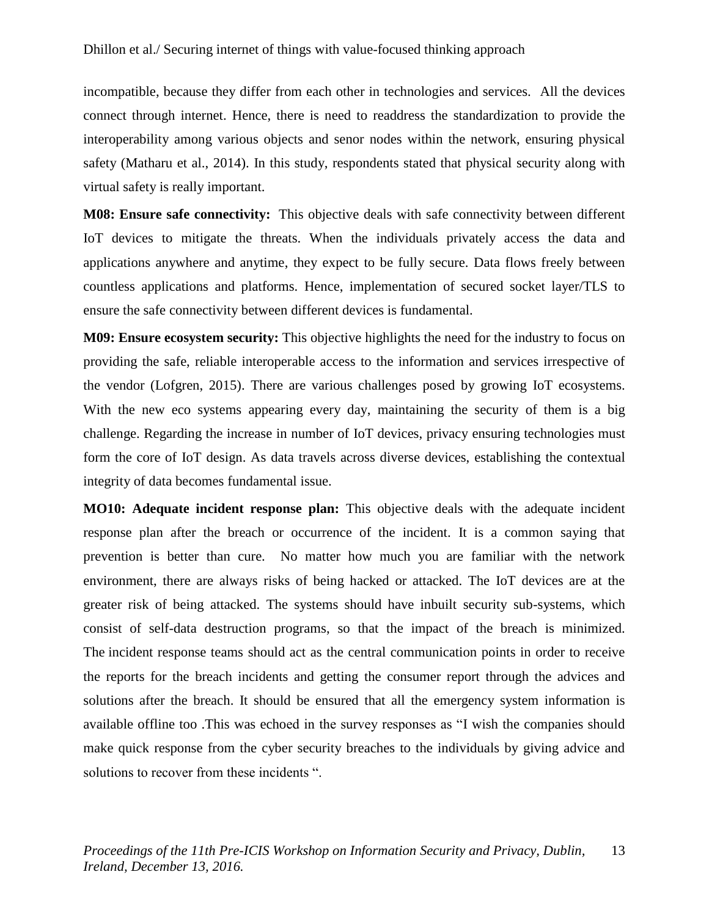incompatible, because they differ from each other in technologies and services. All the devices connect through internet. Hence, there is need to readdress the standardization to provide the interoperability among various objects and senor nodes within the network, ensuring physical safety (Matharu et al., 2014). In this study, respondents stated that physical security along with virtual safety is really important.

**M08: Ensure safe connectivity:** This objective deals with safe connectivity between different IoT devices to mitigate the threats. When the individuals privately access the data and applications anywhere and anytime, they expect to be fully secure. Data flows freely between countless applications and platforms. Hence, implementation of secured socket layer/TLS to ensure the safe connectivity between different devices is fundamental.

**M09: Ensure ecosystem security:** This objective highlights the need for the industry to focus on providing the safe, reliable interoperable access to the information and services irrespective of the vendor (Lofgren, 2015). There are various challenges posed by growing IoT ecosystems. With the new eco systems appearing every day, maintaining the security of them is a big challenge. Regarding the increase in number of IoT devices, privacy ensuring technologies must form the core of IoT design. As data travels across diverse devices, establishing the contextual integrity of data becomes fundamental issue.

**MO10: Adequate incident response plan:** This objective deals with the adequate incident response plan after the breach or occurrence of the incident. It is a common saying that prevention is better than cure. No matter how much you are familiar with the network environment, there are always risks of being hacked or attacked. The IoT devices are at the greater risk of being attacked. The systems should have inbuilt security sub-systems, which consist of self-data destruction programs, so that the impact of the breach is minimized. The incident response teams should act as the central communication points in order to receive the reports for the breach incidents and getting the consumer report through the advices and solutions after the breach. It should be ensured that all the emergency system information is available offline too .This was echoed in the survey responses as "I wish the companies should make quick response from the cyber security breaches to the individuals by giving advice and solutions to recover from these incidents ".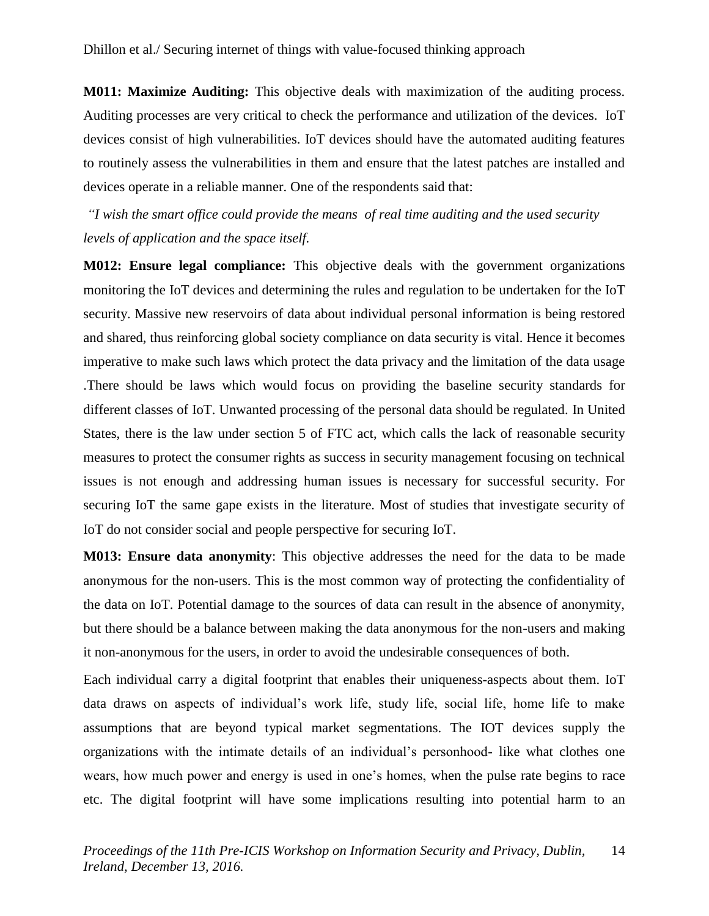**M011: Maximize Auditing:** This objective deals with maximization of the auditing process. Auditing processes are very critical to check the performance and utilization of the devices. IoT devices consist of high vulnerabilities. IoT devices should have the automated auditing features to routinely assess the vulnerabilities in them and ensure that the latest patches are installed and devices operate in a reliable manner. One of the respondents said that:

*"I wish the smart office could provide the means of real time auditing and the used security levels of application and the space itself.*

**M012: Ensure legal compliance:** This objective deals with the government organizations monitoring the IoT devices and determining the rules and regulation to be undertaken for the IoT security. Massive new reservoirs of data about individual personal information is being restored and shared, thus reinforcing global society compliance on data security is vital. Hence it becomes imperative to make such laws which protect the data privacy and the limitation of the data usage .There should be laws which would focus on providing the baseline security standards for different classes of IoT. Unwanted processing of the personal data should be regulated. In United States, there is the law under section 5 of FTC act, which calls the lack of reasonable security measures to protect the consumer rights as success in security management focusing on technical issues is not enough and addressing human issues is necessary for successful security. For securing IoT the same gape exists in the literature. Most of studies that investigate security of IoT do not consider social and people perspective for securing IoT.

**M013: Ensure data anonymity**: This objective addresses the need for the data to be made anonymous for the non-users. This is the most common way of protecting the confidentiality of the data on IoT. Potential damage to the sources of data can result in the absence of anonymity, but there should be a balance between making the data anonymous for the non-users and making it non-anonymous for the users, in order to avoid the undesirable consequences of both.

Each individual carry a digital footprint that enables their uniqueness-aspects about them. IoT data draws on aspects of individual's work life, study life, social life, home life to make assumptions that are beyond typical market segmentations. The IOT devices supply the organizations with the intimate details of an individual's personhood- like what clothes one wears, how much power and energy is used in one's homes, when the pulse rate begins to race etc. The digital footprint will have some implications resulting into potential harm to an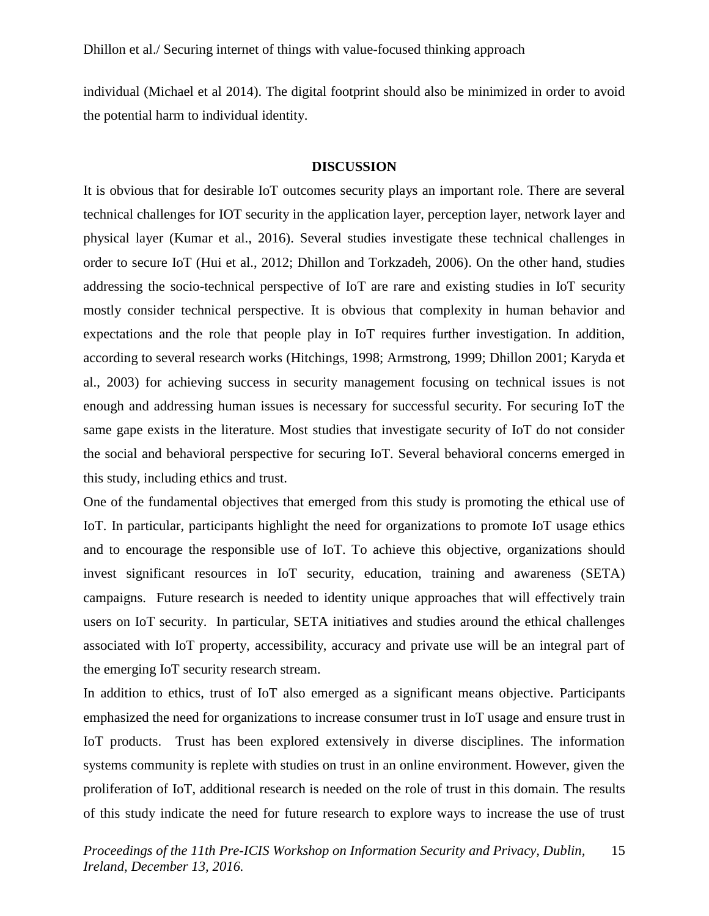individual (Michael et al 2014). The digital footprint should also be minimized in order to avoid the potential harm to individual identity.

#### **DISCUSSION**

It is obvious that for desirable IoT outcomes security plays an important role. There are several technical challenges for IOT security in the application layer, perception layer, network layer and physical layer (Kumar et al., 2016). Several studies investigate these technical challenges in order to secure IoT (Hui et al., 2012; Dhillon and Torkzadeh, 2006). On the other hand, studies addressing the socio-technical perspective of IoT are rare and existing studies in IoT security mostly consider technical perspective. It is obvious that complexity in human behavior and expectations and the role that people play in IoT requires further investigation. In addition, according to several research works (Hitchings, 1998; Armstrong, 1999; Dhillon 2001; Karyda et al., 2003) for achieving success in security management focusing on technical issues is not enough and addressing human issues is necessary for successful security. For securing IoT the same gape exists in the literature. Most studies that investigate security of IoT do not consider the social and behavioral perspective for securing IoT. Several behavioral concerns emerged in this study, including ethics and trust.

One of the fundamental objectives that emerged from this study is promoting the ethical use of IoT. In particular, participants highlight the need for organizations to promote IoT usage ethics and to encourage the responsible use of IoT. To achieve this objective, organizations should invest significant resources in IoT security, education, training and awareness (SETA) campaigns. Future research is needed to identity unique approaches that will effectively train users on IoT security. In particular, SETA initiatives and studies around the ethical challenges associated with IoT property, accessibility, accuracy and private use will be an integral part of the emerging IoT security research stream.

In addition to ethics, trust of IoT also emerged as a significant means objective. Participants emphasized the need for organizations to increase consumer trust in IoT usage and ensure trust in IoT products. Trust has been explored extensively in diverse disciplines. The information systems community is replete with studies on trust in an online environment. However, given the proliferation of IoT, additional research is needed on the role of trust in this domain. The results of this study indicate the need for future research to explore ways to increase the use of trust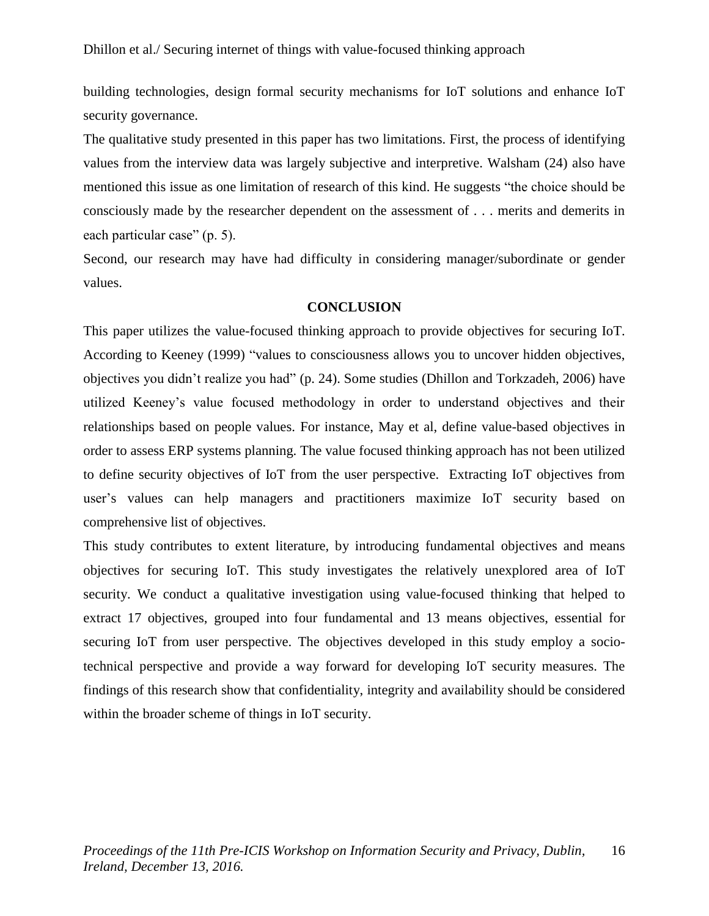building technologies, design formal security mechanisms for IoT solutions and enhance IoT security governance.

The qualitative study presented in this paper has two limitations. First, the process of identifying values from the interview data was largely subjective and interpretive. Walsham (24) also have mentioned this issue as one limitation of research of this kind. He suggests "the choice should be consciously made by the researcher dependent on the assessment of . . . merits and demerits in each particular case" (p. 5).

Second, our research may have had difficulty in considering manager/subordinate or gender values.

#### **CONCLUSION**

This paper utilizes the value-focused thinking approach to provide objectives for securing IoT. According to Keeney (1999) "values to consciousness allows you to uncover hidden objectives, objectives you didn't realize you had" (p. 24). Some studies (Dhillon and Torkzadeh, 2006) have utilized Keeney's value focused methodology in order to understand objectives and their relationships based on people values. For instance, May et al, define value-based objectives in order to assess ERP systems planning. The value focused thinking approach has not been utilized to define security objectives of IoT from the user perspective. Extracting IoT objectives from user's values can help managers and practitioners maximize IoT security based on comprehensive list of objectives.

This study contributes to extent literature, by introducing fundamental objectives and means objectives for securing IoT. This study investigates the relatively unexplored area of IoT security. We conduct a qualitative investigation using value-focused thinking that helped to extract 17 objectives, grouped into four fundamental and 13 means objectives, essential for securing IoT from user perspective. The objectives developed in this study employ a sociotechnical perspective and provide a way forward for developing IoT security measures. The findings of this research show that confidentiality, integrity and availability should be considered within the broader scheme of things in IoT security.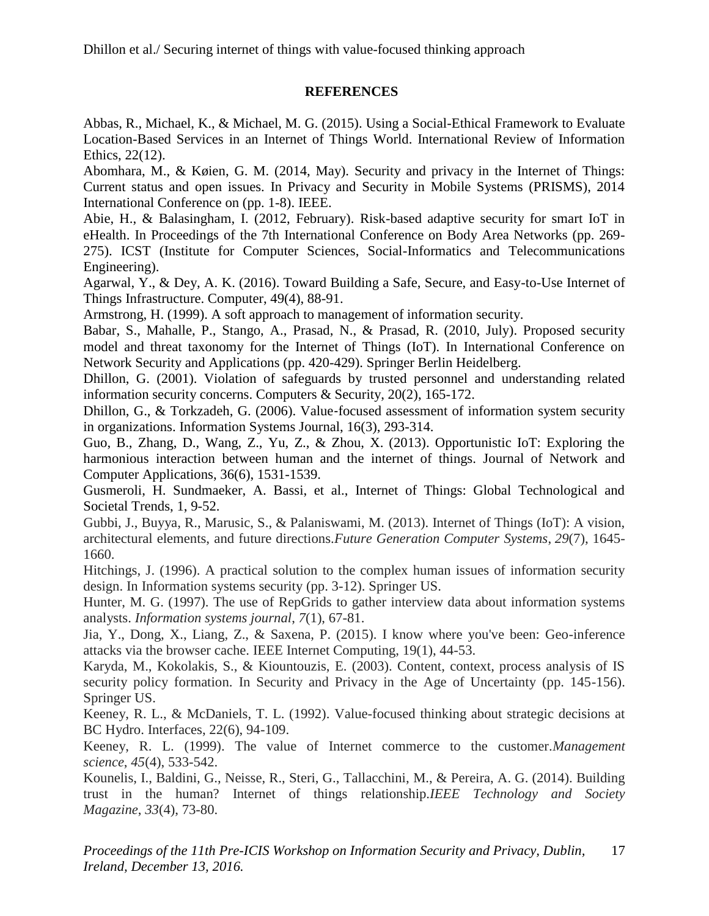#### **REFERENCES**

Abbas, R., Michael, K., & Michael, M. G. (2015). Using a Social-Ethical Framework to Evaluate Location-Based Services in an Internet of Things World. International Review of Information Ethics, 22(12).

Abomhara, M., & Køien, G. M. (2014, May). Security and privacy in the Internet of Things: Current status and open issues. In Privacy and Security in Mobile Systems (PRISMS), 2014 International Conference on (pp. 1-8). IEEE.

Abie, H., & Balasingham, I. (2012, February). Risk-based adaptive security for smart IoT in eHealth. In Proceedings of the 7th International Conference on Body Area Networks (pp. 269- 275). ICST (Institute for Computer Sciences, Social-Informatics and Telecommunications Engineering).

Agarwal, Y., & Dey, A. K. (2016). Toward Building a Safe, Secure, and Easy-to-Use Internet of Things Infrastructure. Computer, 49(4), 88-91.

Armstrong, H. (1999). A soft approach to management of information security.

Babar, S., Mahalle, P., Stango, A., Prasad, N., & Prasad, R. (2010, July). Proposed security model and threat taxonomy for the Internet of Things (IoT). In International Conference on Network Security and Applications (pp. 420-429). Springer Berlin Heidelberg.

Dhillon, G. (2001). Violation of safeguards by trusted personnel and understanding related information security concerns. Computers & Security, 20(2), 165-172.

Dhillon, G., & Torkzadeh, G. (2006). Value‐focused assessment of information system security in organizations. Information Systems Journal, 16(3), 293-314.

Guo, B., Zhang, D., Wang, Z., Yu, Z., & Zhou, X. (2013). Opportunistic IoT: Exploring the harmonious interaction between human and the internet of things. Journal of Network and Computer Applications, 36(6), 1531-1539.

Gusmeroli, H. Sundmaeker, A. Bassi, et al., Internet of Things: Global Technological and Societal Trends, 1, 9-52.

Gubbi, J., Buyya, R., Marusic, S., & Palaniswami, M. (2013). Internet of Things (IoT): A vision, architectural elements, and future directions.*Future Generation Computer Systems*, *29*(7), 1645- 1660.

Hitchings, J. (1996). A practical solution to the complex human issues of information security design. In Information systems security (pp. 3-12). Springer US.

Hunter, M. G. (1997). The use of RepGrids to gather interview data about information systems analysts. *Information systems journal*, *7*(1), 67-81.

Jia, Y., Dong, X., Liang, Z., & Saxena, P. (2015). I know where you've been: Geo-inference attacks via the browser cache. IEEE Internet Computing, 19(1), 44-53.

Karyda, M., Kokolakis, S., & Kiountouzis, E. (2003). Content, context, process analysis of IS security policy formation. In Security and Privacy in the Age of Uncertainty (pp. 145-156). Springer US.

Keeney, R. L., & McDaniels, T. L. (1992). Value-focused thinking about strategic decisions at BC Hydro. Interfaces, 22(6), 94-109.

Keeney, R. L. (1999). The value of Internet commerce to the customer.*Management science*, *45*(4), 533-542.

Kounelis, I., Baldini, G., Neisse, R., Steri, G., Tallacchini, M., & Pereira, A. G. (2014). Building trust in the human? Internet of things relationship.*IEEE Technology and Society Magazine*, *33*(4), 73-80.

*Proceedings of the 11th Pre-ICIS Workshop on Information Security and Privacy, Dublin, Ireland, December 13, 2016.* 17